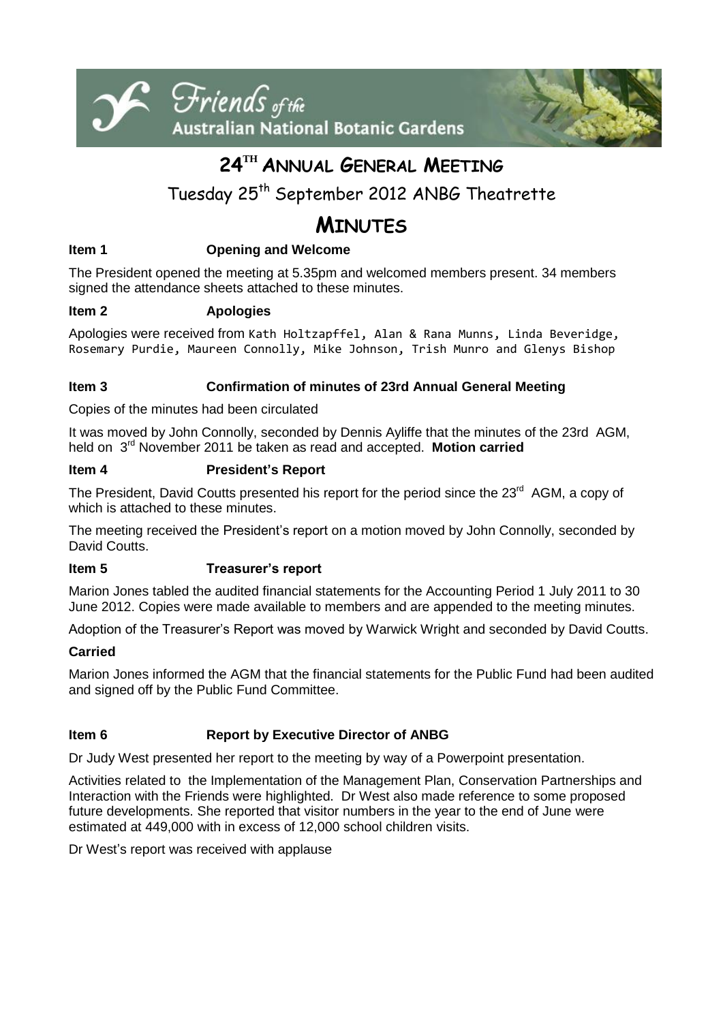



# **24 TH ANNUAL GENERAL MEETING**

## Tuesday 25th September 2012 ANBG Theatrette

## **MINUTES**

## **Item 1 Opening and Welcome**

The President opened the meeting at 5.35pm and welcomed members present. 34 members signed the attendance sheets attached to these minutes.

### **Item 2 Apologies**

Apologies were received from Kath Holtzapffel, Alan & Rana Munns, Linda Beveridge, Rosemary Purdie, Maureen Connolly, Mike Johnson, Trish Munro and Glenys Bishop

### **Item 3 Confirmation of minutes of 23rd Annual General Meeting**

Copies of the minutes had been circulated

It was moved by John Connolly, seconded by Dennis Ayliffe that the minutes of the 23rd AGM, held on 3 rd November 2011 be taken as read and accepted. **Motion carried**

### **Item 4 President's Report**

The President, David Coutts presented his report for the period since the 23<sup>rd</sup> AGM, a copy of which is attached to these minutes.

The meeting received the President's report on a motion moved by John Connolly, seconded by David Coutts.

### **Item 5 Treasurer's report**

Marion Jones tabled the audited financial statements for the Accounting Period 1 July 2011 to 30 June 2012. Copies were made available to members and are appended to the meeting minutes.

Adoption of the Treasurer's Report was moved by Warwick Wright and seconded by David Coutts.

### **Carried**

Marion Jones informed the AGM that the financial statements for the Public Fund had been audited and signed off by the Public Fund Committee.

### **Item 6 Report by Executive Director of ANBG**

Dr Judy West presented her report to the meeting by way of a Powerpoint presentation.

Activities related to the Implementation of the Management Plan, Conservation Partnerships and Interaction with the Friends were highlighted. Dr West also made reference to some proposed future developments. She reported that visitor numbers in the year to the end of June were estimated at 449,000 with in excess of 12,000 school children visits.

Dr West's report was received with applause